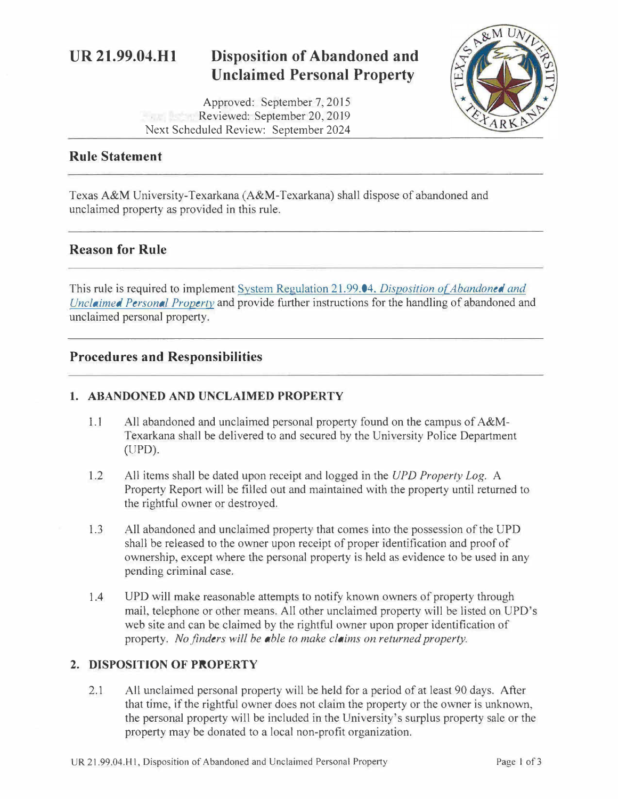# **UR 21.99.04.Hl Disposition of Abandoned and Unclaimed Personal Property**

Approved: September 7, 2015 Finni Befant Reviewed: September 20, 2019 Next Scheduled Review: September 2024



### **Rule Statement**

Texas A&M University-Texarkana (A&M-Texarkana) shall dispose of abandoned and unclaimed property as provided in this rule.

## **Reason for Rule**

This rule is required to implement System Regulation 21.99.04. *Disposition of Abandoned and [Unclaimed Personal Property](http://policies.tamus.edu/21-99-04.pdf)* and provide further instructions for the handling of abandoned and unclaimed personal property.

## **Procedures and Responsibilities**

#### **1. ABANDONED AND UNCLAIMED PROPERTY**

- 1.1 All abandoned and unclaimed personal property found on the campus of A&M-Texarkana shall be delivered to and secured by the University Police Department (UPD).
- 1.2 All items shall be dated upon receipt and logged in the *UPD Property Log.* A Property Report will be filled out and maintained with the property until returned to the rightful owner or destroyed.
- 1.3 All abandoned and unclaimed property that comes into the possession of the UPD shall be released to the owner upon receipt of proper identification and proof of ownership, except where the personal property is held as evidence to be used in any pending criminal case.
- 1.4 UPD will make reasonable attempts to notify known owners of property through mail, telephone or other means. All other unclaimed property will be listed on UPD's web site and can be claimed by the rightful owner upon proper identification of property. *No finders will be able to make claims on returned property.*

#### **2. DISPOSITION OF PROPERTY**

2.1 All unclaimed personal property will be held for a period of at least 90 days. After that time, if the rightful owner does not claim the property or the owner is unknown, the personal property will be included in the University's surplus property sale or the property may be donated to a local non-profit organization.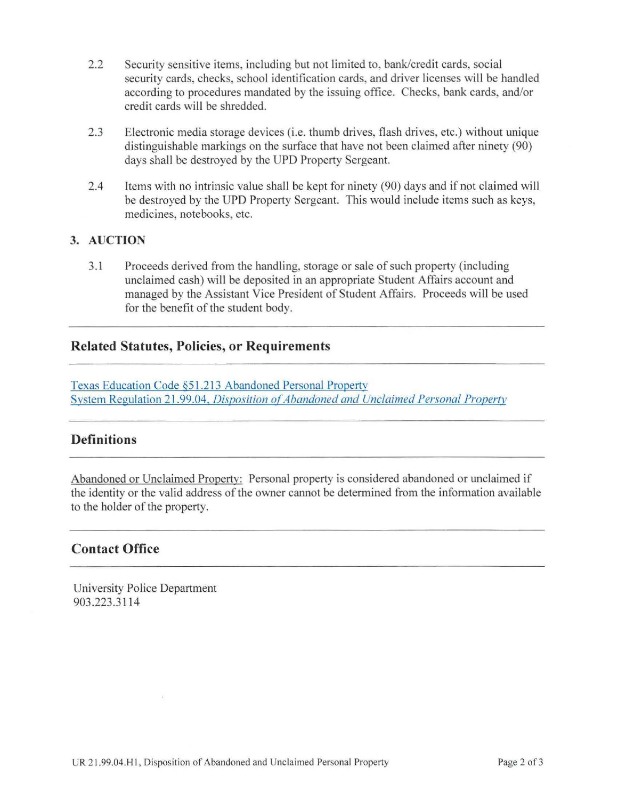- 2.2 Security sensitive items, including but not limited to, bank/credit cards, social security cards, checks, school identification cards, and driver licenses will be handled according to procedures mandated by the issuing office. Checks, bank cards, and/or credit cards will be shredded.
- 2.3 Electronic media storage devices (i.e. thumb drives, flash drives, etc.) without unique distinguishable markings on the surface that have not been claimed after ninety (90) days shall be destroyed by the UPD Property Sergeant.
- 2.4 Items with no intrinsic value shall be kept for ninety (90) days and if not claimed will be destroyed by the UPD Property Sergeant. This would include items such as keys, medicines, notebooks, etc.

#### **3. AUCTION**

3. 1 Proceeds derived from the handling, storage or sale of such property (including unclaimed cash) will be deposited in an appropriate Student Affairs account and managed by the Assistant Vice President of Student Affairs. Proceeds will be used for the benefit of the student body.

## **Related Statutes, Policies, or Requirements**

Texas Education Code §51 [.213 Abandoned Personal Property](http://www.statutes.legis.state.tx.us/Docs/ED/htm/ED.51.htm#51.213)  System Regulation 21.99.04, *Disposition of Abandoned and Unclaimed Personal Property* 

#### **Definitions**

Abandoned or Unclaimed Property: Personal property is considered abandoned or unclaimed if the identity or the valid address of the owner cannot be determined from the information available to the holder of the property.

#### **Contact Office**

University Police Department 903.223.3 114